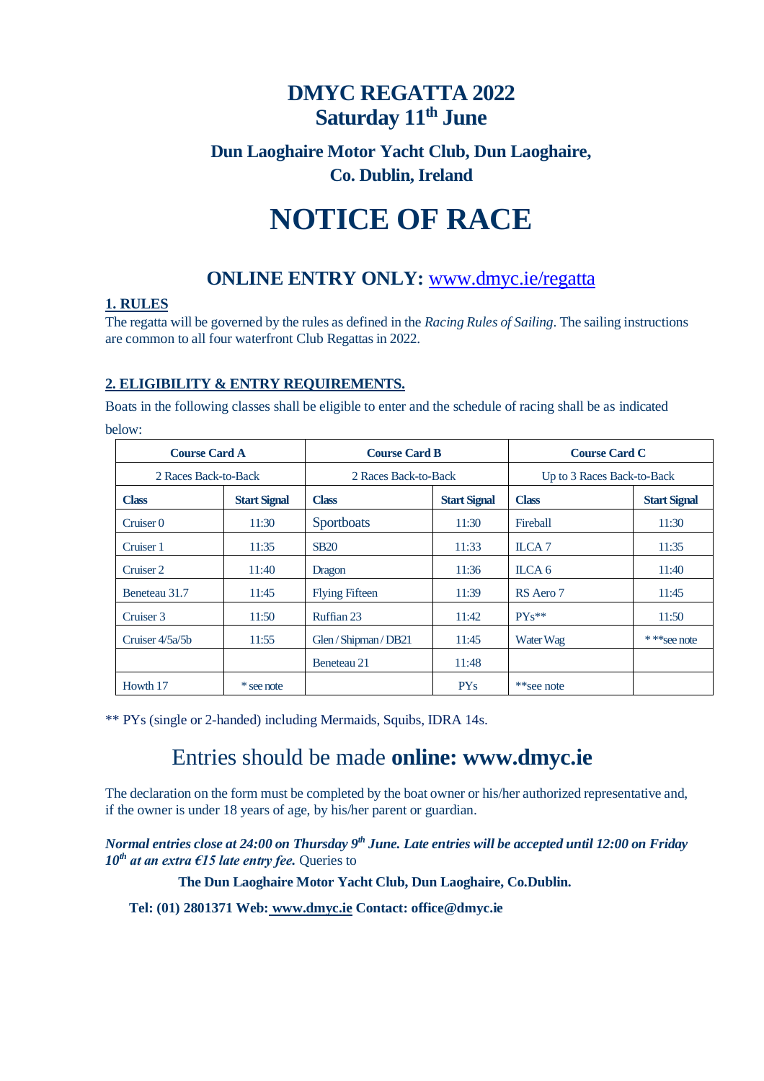# **DMYC REGATTA 2022 Saturday 11 th June**

### **Dun Laoghaire Motor Yacht Club, Dun Laoghaire, Co. Dublin, Ireland**

# **NOTICE OF RACE**

## **ONLINE ENTRY ONLY:** [www.dmyc.ie/regatta](http://www.dmyc.ie/regatta)

#### **1. RULES**

The regatta will be governed by the rules as defined in the *Racing Rules of Sailing*. The sailing instructions are common to all four waterfront Club Regattas in 2022.

#### **2. ELIGIBILITY & ENTRY REQUIREMENTS.**

Boats in the following classes shall be eligible to enter and the schedule of racing shall be as indicated below:

| <b>Course Card A</b> |                     | <b>Course Card B</b>  |                     | <b>Course Card C</b>       |                     |
|----------------------|---------------------|-----------------------|---------------------|----------------------------|---------------------|
| 2 Races Back-to-Back |                     | 2 Races Back-to-Back  |                     | Up to 3 Races Back-to-Back |                     |
| <b>Class</b>         | <b>Start Signal</b> | <b>Class</b>          | <b>Start Signal</b> | <b>Class</b>               | <b>Start Signal</b> |
| Cruiser 0            | 11:30               | Sportboats            | 11:30               | Fireball                   | 11:30               |
| Cruiser 1            | 11:35               | <b>SB20</b>           | 11:33               | ILCA 7                     | 11:35               |
| Cruiser 2            | 11:40               | Dragon                | 11:36               | ILCA 6                     | 11:40               |
| Beneteau 31.7        | 11:45               | <b>Flying Fifteen</b> | 11:39               | RS Aero 7                  | 11:45               |
| Cruiser 3            | 11:50               | Ruffian 23            | 11:42               | $PYs**$                    | 11:50               |
| Cruiser 4/5a/5b      | 11:55               | Glen / Shipman / DB21 | 11:45               | Water Wag                  | * * * see note      |
|                      |                     | Beneteau 21           | 11:48               |                            |                     |
| Howth 17             | * see note          |                       | PY <sub>S</sub>     | **see note                 |                     |

\*\* PYs (single or 2-handed) including Mermaids, Squibs, IDRA 14s.

# Entries should be made **online: www.dmyc.ie**

The declaration on the form must be completed by the boat owner or his/her authorized representative and, if the owner is under 18 years of age, by his/her parent or guardian.

#### *Normal entries close at 24:00 on Thursday 9 th June. Late entries will be accepted until 12:00 on Friday*   $10^{th}$  *at an extra €15 late entry fee.* Queries to

#### **The Dun Laoghaire Motor Yacht Club, Dun Laoghaire, Co.Dublin.**

**Tel: (01) 2801371 Web: www.dmyc.ie Contact: office@dmyc.ie**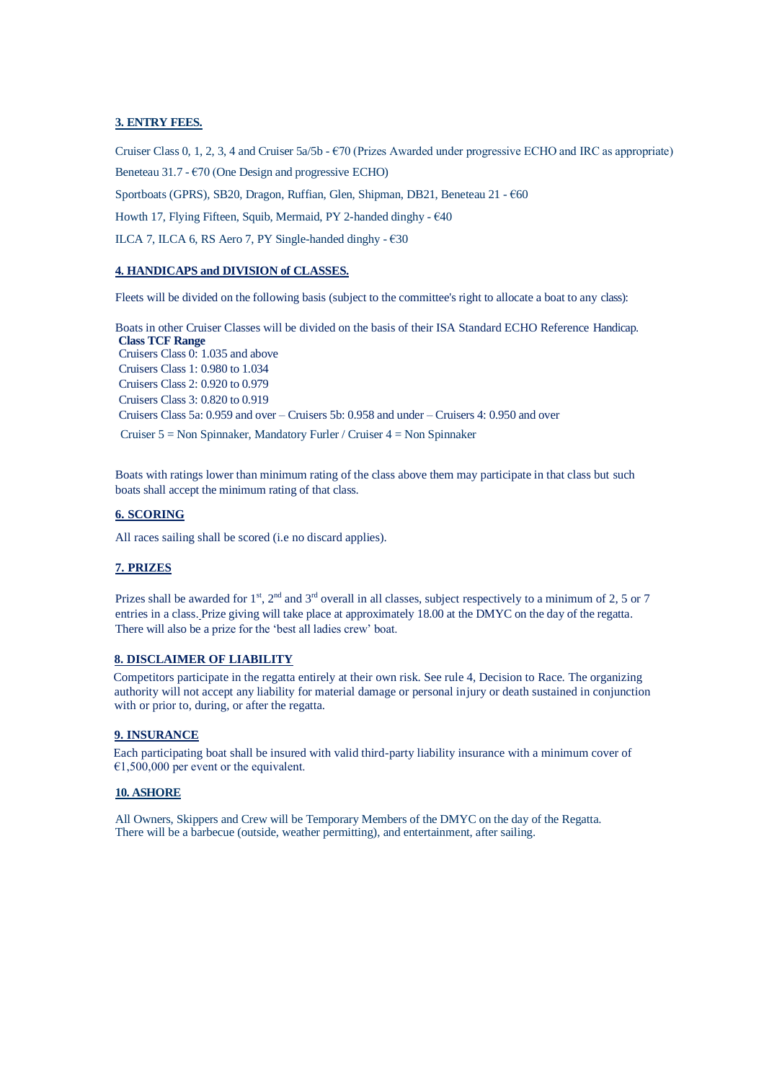#### **3. ENTRY FEES.**

Cruiser Class 0, 1, 2, 3, 4 and Cruiser 5a/5b - €70 (Prizes Awarded under progressive ECHO and IRC as appropriate) Beneteau 31.7 -  $\epsilon$ 70 (One Design and progressive ECHO)

Sportboats (GPRS), SB20, Dragon, Ruffian, Glen, Shipman, DB21, Beneteau 21 - €60

Howth 17, Flying Fifteen, Squib, Mermaid, PY 2-handed dinghy - €40

ILCA 7, ILCA 6, RS Aero 7, PY Single-handed dinghy - €30

#### **4. HANDICAPS and DIVISION of CLASSES.**

Fleets will be divided on the following basis (subject to the committee's right to allocate a boat to any class):

Boats in other Cruiser Classes will be divided on the basis of their ISA Standard ECHO Reference Handicap. **Class TCF Range**  Cruisers Class 0: 1.035 and above Cruisers Class 1: 0.980 to 1.034 Cruisers Class 2: 0.920 to 0.979 Cruisers Class 3: 0.820 to 0.919 Cruisers Class 5a: 0.959 and over – Cruisers 5b: 0.958 and under – Cruisers 4: 0.950 and over Cruiser 5 = Non Spinnaker, Mandatory Furler / Cruiser 4 = Non Spinnaker

Boats with ratings lower than minimum rating of the class above them may participate in that class but such boats shall accept the minimum rating of that class.

#### **6. SCORING**

All races sailing shall be scored (i.e no discard applies).

#### **7. PRIZES**

Prizes shall be awarded for 1<sup>st</sup>, 2<sup>nd</sup> and 3<sup>rd</sup> overall in all classes, subject respectively to a minimum of 2, 5 or 7 entries in a class. Prize giving will take place at approximately 18.00 at the DMYC on the day of the regatta. There will also be a prize for the 'best all ladies crew' boat.

#### **8. DISCLAIMER OF LIABILITY**

Competitors participate in the regatta entirely at their own risk. See rule 4, Decision to Race. The organizing authority will not accept any liability for material damage or personal injury or death sustained in conjunction with or prior to, during, or after the regatta.

#### **9. INSURANCE**

Each participating boat shall be insured with valid third-party liability insurance with a minimum cover of  $€1,500,000$  per event or the equivalent.

#### **10. ASHORE**

All Owners, Skippers and Crew will be Temporary Members of the DMYC on the day of the Regatta. There will be a barbecue (outside, weather permitting), and entertainment, after sailing.